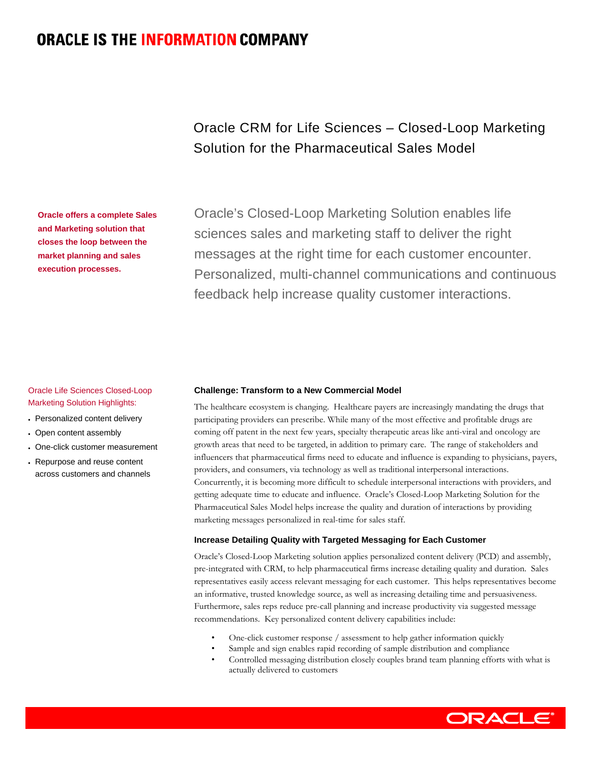# **ORACLE IS THE INFORMATION COMPANY**

Oracle CRM for Life Sciences – Closed-Loop Marketing Solution for the Pharmaceutical Sales Model

Oracle's Closed-Loop Marketing Solution enables life sciences sales and marketing staff to deliver the right messages at the right time for each customer encounter. Personalized, multi-channel communications and continuous feedback help increase quality customer interactions.

# Oracle Life Sciences Closed-Loop Marketing Solution Highlights:

**Oracle offers a complete Sales and Marketing solution that closes the loop between the market planning and sales execution processes.** 

- Personalized content delivery
- Open content assembly
- One-click customer measurement
- Repurpose and reuse content across customers and channels

#### **Challenge: Transform to a New Commercial Model**

The healthcare ecosystem is changing. Healthcare payers are increasingly mandating the drugs that participating providers can prescribe. While many of the most effective and profitable drugs are coming off patent in the next few years, specialty therapeutic areas like anti-viral and oncology are growth areas that need to be targeted, in addition to primary care. The range of stakeholders and influencers that pharmaceutical firms need to educate and influence is expanding to physicians, payers, providers, and consumers, via technology as well as traditional interpersonal interactions. Concurrently, it is becoming more difficult to schedule interpersonal interactions with providers, and getting adequate time to educate and influence. Oracle's Closed-Loop Marketing Solution for the Pharmaceutical Sales Model helps increase the quality and duration of interactions by providing marketing messages personalized in real-time for sales staff.

# **Increase Detailing Quality with Targeted Messaging for Each Customer**

Oracle's Closed-Loop Marketing solution applies personalized content delivery (PCD) and assembly, pre-integrated with CRM, to help pharmaceutical firms increase detailing quality and duration. Sales representatives easily access relevant messaging for each customer. This helps representatives become an informative, trusted knowledge source, as well as increasing detailing time and persuasiveness. Furthermore, sales reps reduce pre-call planning and increase productivity via suggested message recommendations. Key personalized content delivery capabilities include:

- One-click customer response / assessment to help gather information quickly
- Sample and sign enables rapid recording of sample distribution and compliance
- Controlled messaging distribution closely couples brand team planning efforts with what is actually delivered to customers